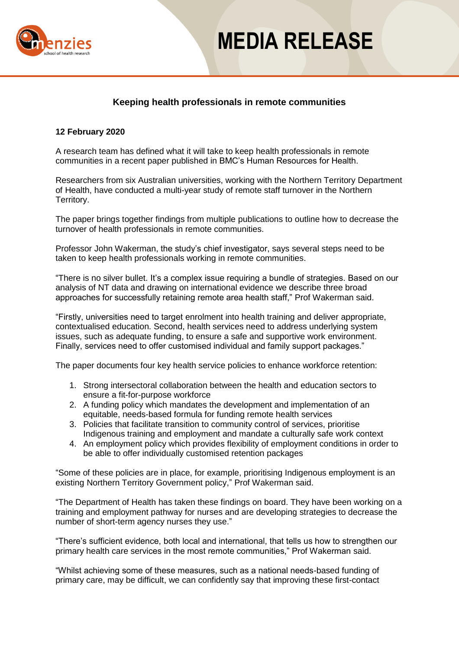

## **MEDIA RELEASE**

### **Keeping health professionals in remote communities**

### **12 February 2020**

A research team has defined what it will take to keep health professionals in remote communities in a recent paper published in BMC's Human Resources for Health.

Researchers from six Australian universities, working with the Northern Territory Department of Health, have conducted a multi-year study of remote staff turnover in the Northern Territory.

The paper brings together findings from multiple publications to outline how to decrease the turnover of health professionals in remote communities.

Professor John Wakerman, the study's chief investigator, says several steps need to be taken to keep health professionals working in remote communities.

"There is no silver bullet. It's a complex issue requiring a bundle of strategies. Based on our analysis of NT data and drawing on international evidence we describe three broad approaches for successfully retaining remote area health staff," Prof Wakerman said.

"Firstly, universities need to target enrolment into health training and deliver appropriate, contextualised education. Second, health services need to address underlying system issues, such as adequate funding, to ensure a safe and supportive work environment. Finally, services need to offer customised individual and family support packages."

The paper documents four key health service policies to enhance workforce retention:

- 1. Strong intersectoral collaboration between the health and education sectors to ensure a fit-for-purpose workforce
- 2. A funding policy which mandates the development and implementation of an equitable, needs-based formula for funding remote health services
- 3. Policies that facilitate transition to community control of services, prioritise Indigenous training and employment and mandate a culturally safe work context
- 4. An employment policy which provides flexibility of employment conditions in order to be able to offer individually customised retention packages

"Some of these policies are in place, for example, prioritising Indigenous employment is an existing Northern Territory Government policy," Prof Wakerman said.

"The Department of Health has taken these findings on board. They have been working on a training and employment pathway for nurses and are developing strategies to decrease the number of short-term agency nurses they use."

"There's sufficient evidence, both local and international, that tells us how to strengthen our primary health care services in the most remote communities," Prof Wakerman said.

"Whilst achieving some of these measures, such as a national needs-based funding of primary care, may be difficult, we can confidently say that improving these first-contact